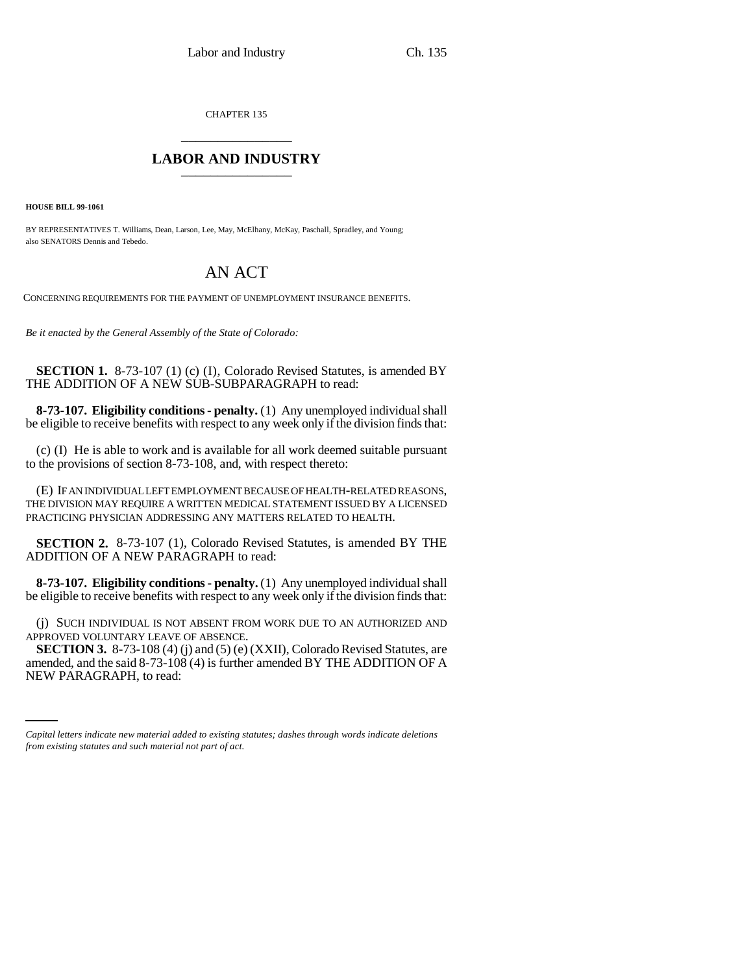CHAPTER 135 \_\_\_\_\_\_\_\_\_\_\_\_\_\_\_

## **LABOR AND INDUSTRY** \_\_\_\_\_\_\_\_\_\_\_\_\_\_\_

**HOUSE BILL 99-1061** 

BY REPRESENTATIVES T. Williams, Dean, Larson, Lee, May, McElhany, McKay, Paschall, Spradley, and Young; also SENATORS Dennis and Tebedo.

## AN ACT

CONCERNING REQUIREMENTS FOR THE PAYMENT OF UNEMPLOYMENT INSURANCE BENEFITS.

*Be it enacted by the General Assembly of the State of Colorado:*

**SECTION 1.** 8-73-107 (1) (c) (I), Colorado Revised Statutes, is amended BY THE ADDITION OF A NEW SUB-SUBPARAGRAPH to read:

**8-73-107. Eligibility conditions - penalty.** (1) Any unemployed individual shall be eligible to receive benefits with respect to any week only if the division finds that:

(c) (I) He is able to work and is available for all work deemed suitable pursuant to the provisions of section 8-73-108, and, with respect thereto:

(E) IF AN INDIVIDUAL LEFT EMPLOYMENT BECAUSE OF HEALTH-RELATED REASONS, THE DIVISION MAY REQUIRE A WRITTEN MEDICAL STATEMENT ISSUED BY A LICENSED PRACTICING PHYSICIAN ADDRESSING ANY MATTERS RELATED TO HEALTH.

**SECTION 2.** 8-73-107 (1), Colorado Revised Statutes, is amended BY THE ADDITION OF A NEW PARAGRAPH to read:

**8-73-107. Eligibility conditions - penalty.** (1) Any unemployed individual shall be eligible to receive benefits with respect to any week only if the division finds that:

(j) SUCH INDIVIDUAL IS NOT ABSENT FROM WORK DUE TO AN AUTHORIZED AND APPROVED VOLUNTARY LEAVE OF ABSENCE.

amended, and the said  $8-73-108$  (4) is further amended BY THE ADDITION OF A **SECTION 3.** 8-73-108 (4) (j) and (5) (e) (XXII), Colorado Revised Statutes, are NEW PARAGRAPH, to read:

*Capital letters indicate new material added to existing statutes; dashes through words indicate deletions from existing statutes and such material not part of act.*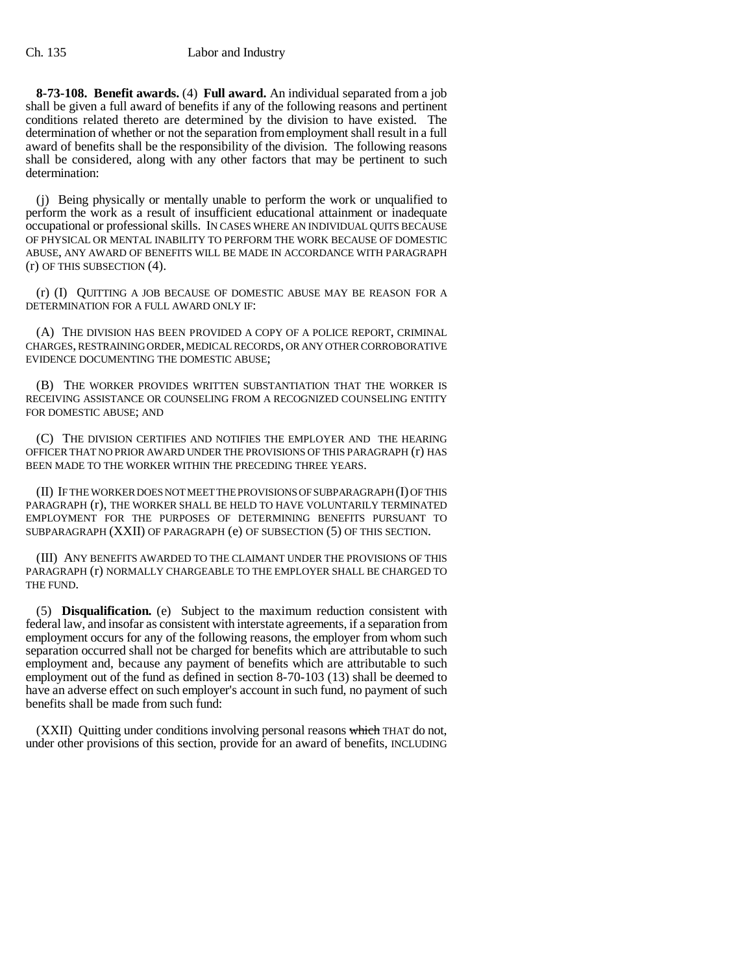**8-73-108. Benefit awards.** (4) **Full award.** An individual separated from a job shall be given a full award of benefits if any of the following reasons and pertinent conditions related thereto are determined by the division to have existed. The determination of whether or not the separation from employment shall result in a full award of benefits shall be the responsibility of the division. The following reasons shall be considered, along with any other factors that may be pertinent to such determination:

(j) Being physically or mentally unable to perform the work or unqualified to perform the work as a result of insufficient educational attainment or inadequate occupational or professional skills. IN CASES WHERE AN INDIVIDUAL QUITS BECAUSE OF PHYSICAL OR MENTAL INABILITY TO PERFORM THE WORK BECAUSE OF DOMESTIC ABUSE, ANY AWARD OF BENEFITS WILL BE MADE IN ACCORDANCE WITH PARAGRAPH (r) OF THIS SUBSECTION (4).

(r) (I) QUITTING A JOB BECAUSE OF DOMESTIC ABUSE MAY BE REASON FOR A DETERMINATION FOR A FULL AWARD ONLY IF:

(A) THE DIVISION HAS BEEN PROVIDED A COPY OF A POLICE REPORT, CRIMINAL CHARGES, RESTRAINING ORDER, MEDICAL RECORDS, OR ANY OTHER CORROBORATIVE EVIDENCE DOCUMENTING THE DOMESTIC ABUSE;

(B) THE WORKER PROVIDES WRITTEN SUBSTANTIATION THAT THE WORKER IS RECEIVING ASSISTANCE OR COUNSELING FROM A RECOGNIZED COUNSELING ENTITY FOR DOMESTIC ABUSE; AND

(C) THE DIVISION CERTIFIES AND NOTIFIES THE EMPLOYER AND THE HEARING OFFICER THAT NO PRIOR AWARD UNDER THE PROVISIONS OF THIS PARAGRAPH (r) HAS BEEN MADE TO THE WORKER WITHIN THE PRECEDING THREE YEARS.

(II) IF THE WORKER DOES NOT MEET THE PROVISIONS OF SUBPARAGRAPH (I) OF THIS PARAGRAPH (r), THE WORKER SHALL BE HELD TO HAVE VOLUNTARILY TERMINATED EMPLOYMENT FOR THE PURPOSES OF DETERMINING BENEFITS PURSUANT TO SUBPARAGRAPH (XXII) OF PARAGRAPH (e) OF SUBSECTION (5) OF THIS SECTION.

(III) ANY BENEFITS AWARDED TO THE CLAIMANT UNDER THE PROVISIONS OF THIS PARAGRAPH (r) NORMALLY CHARGEABLE TO THE EMPLOYER SHALL BE CHARGED TO THE FUND.

(5) **Disqualification.** (e) Subject to the maximum reduction consistent with federal law, and insofar as consistent with interstate agreements, if a separation from employment occurs for any of the following reasons, the employer from whom such separation occurred shall not be charged for benefits which are attributable to such employment and, because any payment of benefits which are attributable to such employment out of the fund as defined in section 8-70-103 (13) shall be deemed to have an adverse effect on such employer's account in such fund, no payment of such benefits shall be made from such fund:

(XXII) Quitting under conditions involving personal reasons which THAT do not, under other provisions of this section, provide for an award of benefits, INCLUDING